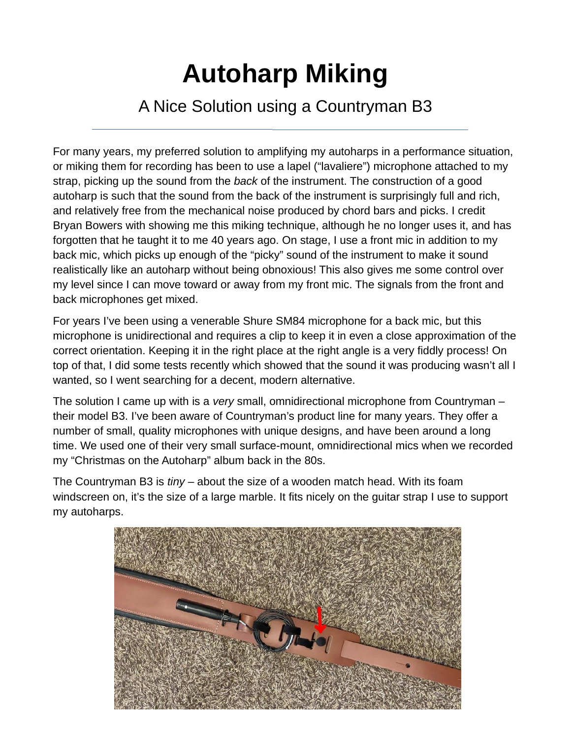## **Autoharp Miking**

## A Nice Solution using a Countryman B3

For many years, my preferred solution to amplifying my autoharps in a performance situation, or miking them for recording has been to use a lapel ("lavaliere") microphone attached to my strap, picking up the sound from the *back* of the instrument. The construction of a good autoharp is such that the sound from the back of the instrument is surprisingly full and rich, and relatively free from the mechanical noise produced by chord bars and picks. I credit Bryan Bowers with showing me this miking technique, although he no longer uses it, and has forgotten that he taught it to me 40 years ago. On stage, I use a front mic in addition to my back mic, which picks up enough of the "picky" sound of the instrument to make it sound realistically like an autoharp without being obnoxious! This also gives me some control over my level since I can move toward or away from my front mic. The signals from the front and back microphones get mixed.

For years I've been using a venerable Shure SM84 microphone for a back mic, but this microphone is unidirectional and requires a clip to keep it in even a close approximation of the correct orientation. Keeping it in the right place at the right angle is a very fiddly process! On top of that, I did some tests recently which showed that the sound it was producing wasn't all I wanted, so I went searching for a decent, modern alternative.

The solution I came up with is a *very* small, omnidirectional microphone from Countryman – their model B3. I've been aware of Countryman's product line for many years. They offer a number of small, quality microphones with unique designs, and have been around a long time. We used one of their very small surface-mount, omnidirectional mics when we recorded my "Christmas on the Autoharp" album back in the 80s.

The Countryman B3 is *tiny* – about the size of a wooden match head. With its foam windscreen on, it's the size of a large marble. It fits nicely on the guitar strap I use to support my autoharps.